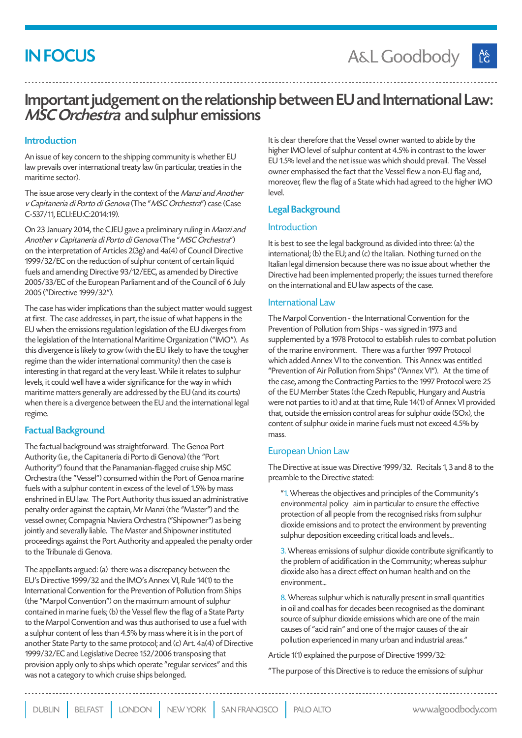# **IN FOCUS**

## Important judgement on the relationship between EU and International Law: MSC Orchestra and sulphur emissions

#### Introduction

An issue of key concern to the shipping community is whether EU law prevails over international treaty law (in particular, treaties in the maritime sector).

The issue arose very clearly in the context of the Manzi and Another v Capitaneria di Porto di Genova (The "MSC Orchestra") case (Case C-537/11, ECLI:EU:C:2014:19).

On 23 January 2014, the CJEU gave a preliminary ruling in Manzi and Another v Capitaneria di Porto di Genova (The "MSC Orchestra") on the interpretation of Articles 2(3g) and 4a(4) of Council Directive 1999/32/EC on the reduction of sulphur content of certain liquid fuels and amending Directive 93/12/EEC, as amended by Directive 2005/33/EC of the European Parliament and of the Council of 6 July 2005 ("Directive 1999/32").

The case has wider implications than the subject matter would suggest at first. The case addresses, in part, the issue of what happens in the EU when the emissions regulation legislation of the EU diverges from the legislation of the International Maritime Organization ("IMO"). As this divergence is likely to grow (with the EU likely to have the tougher regime than the wider international community) then the case is interesting in that regard at the very least. While it relates to sulphur levels, it could well have a wider significance for the way in which maritime matters generally are addressed by the EU (and its courts) when there is a divergence between the EU and the international legal regime.

#### Factual Background

The factual background was straightforward. The Genoa Port Authority (i.e., the Capitaneria di Porto di Genova) (the "Port Authority") found that the Panamanian-flagged cruise ship MSC Orchestra (the "Vessel") consumed within the Port of Genoa marine fuels with a sulphur content in excess of the level of 1.5% by mass enshrined in EU law. The Port Authority thus issued an administrative penalty order against the captain, Mr Manzi (the "Master") and the vessel owner, Compagnia Naviera Orchestra ("Shipowner") as being jointly and severally liable. The Master and Shipowner instituted proceedings against the Port Authority and appealed the penalty order to the Tribunale di Genova.

The appellants argued: (a) there was a discrepancy between the EU's Directive 1999/32 and the IMO's Annex VI, Rule 14(1) to the International Convention for the Prevention of Pollution from Ships (the "Marpol Convention") on the maximum amount of sulphur contained in marine fuels; (b) the Vessel flew the flag of a State Party to the Marpol Convention and was thus authorised to use a fuel with a sulphur content of less than 4.5% by mass where it is in the port of another State Party to the same protocol; and (c) Art. 4a(4) of Directive 1999/32/EC and Legislative Decree 152/2006 transposing that provision apply only to ships which operate "regular services" and this was not a category to which cruise ships belonged.

It is clear therefore that the Vessel owner wanted to abide by the higher IMO level of sulphur content at 4.5% in contrast to the lower EU 1.5% level and the net issue was which should prevail. The Vessel owner emphasised the fact that the Vessel flew a non-EU flag and, moreover, flew the flag of a State which had agreed to the higher IMO level.

#### Legal Background

#### Introduction

It is best to see the legal background as divided into three: (a) the international; (b) the EU; and (c) the Italian. Nothing turned on the Italian legal dimension because there was no issue about whether the Directive had been implemented properly; the issues turned therefore on the international and EU law aspects of the case.

#### International Law

The Marpol Convention - the International Convention for the Prevention of Pollution from Ships - was signed in 1973 and supplemented by a 1978 Protocol to establish rules to combat pollution of the marine environment. There was a further 1997 Protocol which added Annex VI to the convention. This Annex was entitled "Prevention of Air Pollution from Ships" ("Annex VI"). At the time of the case, among the Contracting Parties to the 1997 Protocol were 25 of the EU Member States (the Czech Republic, Hungary and Austria were not parties to it) and at that time, Rule 14(1) of Annex VI provided that, outside the emission control areas for sulphur oxide (SOx), the content of sulphur oxide in marine fuels must not exceed 4.5% by mass.

#### European Union Law

The Directive at issue was Directive 1999/32. Recitals 1, 3 and 8 to the preamble to the Directive stated:

"1. Whereas the objectives and principles of the Community's environmental policy aim in particular to ensure the effective protection of all people from the recognised risks from sulphur dioxide emissions and to protect the environment by preventing sulphur deposition exceeding critical loads and levels...

3. Whereas emissions of sulphur dioxide contribute significantly to the problem of acidification in the Community; whereas sulphur dioxide also has a direct effect on human health and on the environment...

8. Whereas sulphur which is naturally present in small quantities in oil and coal has for decades been recognised as the dominant source of sulphur dioxide emissions which are one of the main causes of "acid rain" and one of the major causes of the air pollution experienced in many urban and industrial areas."

Article 1(1) explained the purpose of Directive 1999/32:

"The purpose of this Directive is to reduce the emissions of sulphur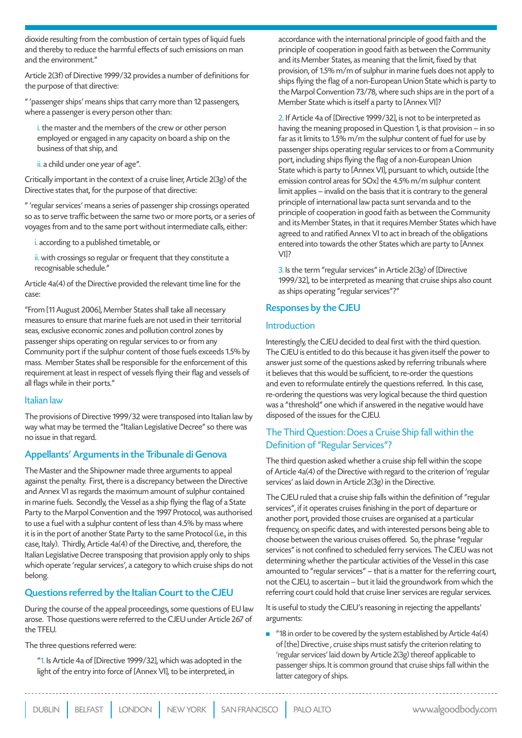dioxide resulting from the combustion of certain types of liquid fuels and thereby to reduce the harmful effects of such emissions on man and the environment."

Article 2(3f) of Directive 1999/32 provides a number of definitions for the purpose of that directive:

" 'passenger ships' means ships that carry more than 12 passengers, where a passenger is every person other than:

i. the master and the members of the crew or other person employed or engaged in any capacity on board a ship on the business of that ship, and

ii. a child under one year of age".

Critically important in the context of a cruise liner, Article 2(3g) of the Directive states that, for the purpose of that directive:

" 'regular services' means a series of passenger ship crossings operated so as to serve traffic between the same two or more ports, or a series of voyages from and to the same port without intermediate calls, either:

i. according to a published timetable, or

ii. with crossings so regular or frequent that they constitute a recognisable schedule."

Article 4a(4) of the Directive provided the relevant time line for the case:

"From [11 August 2006], Member States shall take all necessary measures to ensure that marine fuels are not used in their territorial seas, exclusive economic zones and pollution control zones by passenger ships operating on regular services to or from any Community port if the sulphur content of those fuels exceeds 1.5% by mass. Member States shall be responsible for the enforcement of this requirement at least in respect of vessels flying their flag and vessels of all flags while in their ports."

#### Italian law

The provisions of Directive 1999/32 were transposed into Italian law by way what may be termed the "Italian Legislative Decree" so there was no issue in that regard.

#### Appellants' Arguments in the Tribunale di Genova

The Master and the Shipowner made three arguments to appeal against the penalty. First, there is a discrepancy between the Directive and Annex VI as regards the maximum amount of sulphur contained in marine fuels. Secondly, the Vessel as a ship flying the flag of a State Party to the Marpol Convention and the 1997 Protocol, was authorised to use a fuel with a sulphur content of less than 4.5% by mass where it is in the port of another State Party to the same Protocol (i.e., in this case, Italy). Thirdly, Article 4a(4) of the Directive, and, therefore, the Italian Legislative Decree transposing that provision apply only to ships which operate 'regular services', a category to which cruise ships do not belong.

#### Questions referred by the Italian Court to the CJEU

During the course of the appeal proceedings, some questions of EU law arose. Those questions were referred to the CJEU under Article 267 of the TFEU.

The three questions referred were:

"1. Is Article 4a of [Directive 1999/32], which was adopted in the light of the entry into force of [Annex VI], to be interpreted, in

accordance with the international principle of good faith and the principle of cooperation in good faith as between the Community and its Member States, as meaning that the limit, fixed by that provision, of 1.5% m/m of sulphur in marine fuels does not apply to ships flying the flag of a non-European Union State which is party to the Marpol Convention 73/78, where such ships are in the port of a Member State which is itself a party to [Annex VI]?

2. If Article 4a of [Directive 1999/32], is not to be interpreted as having the meaning proposed in Question 1, is that provision – in so far as it limits to 1.5% m/m the sulphur content of fuel for use by passenger ships operating regular services to or from a Community port, including ships flying the flag of a non-European Union State which is party to [Annex VI], pursuant to which, outside [the emission control areas for SOx] the 4.5% m/m sulphur content limit applies – invalid on the basis that it is contrary to the general principle of international law pacta sunt servanda and to the principle of cooperation in good faith as between the Community and its Member States, in that it requires Member States which have agreed to and ratified Annex VI to act in breach of the obligations entered into towards the other States which are party to [Annex VI]?

3. Is the term "regular services" in Article 2(3g) of [Directive 1999/32], to be interpreted as meaning that cruise ships also count as ships operating "regular services"?"

#### Responses by the CJEU

#### Introduction

Interestingly, the CJEU decided to deal first with the third question. The CJEU is entitled to do this because it has given itself the power to answer just some of the questions asked by referring tribunals where it believes that this would be sufficient, to re-order the questions and even to reformulate entirely the questions referred. In this case, re-ordering the questions was very logical because the third question was a "threshold" one which if answered in the negative would have disposed of the issues for the CJEU.

#### The Third Question: Does a Cruise Ship fall within the Definition of "Regular Services"?

The third question asked whether a cruise ship fell within the scope of Article 4a(4) of the Directive with regard to the criterion of 'regular services' as laid down in Article 2(3g) in the Directive.

The CJEU ruled that a cruise ship falls within the definition of "regular services", if it operates cruises finishing in the port of departure or another port, provided those cruises are organised at a particular frequency, on specific dates, and with interested persons being able to choose between the various cruises offered. So, the phrase "regular services" is not confined to scheduled ferry services. The CJEU was not determining whether the particular activities of the Vessel in this case amounted to "regular services" – that is a matter for the referring court, not the CJEU, to ascertain – but it laid the groundwork from which the referring court could hold that cruise liner services are regular services.

It is useful to study the CJEU's reasoning in rejecting the appellants' arguments:

 $\blacksquare$  "18 in order to be covered by the system established by Article 4a(4) of [the] Directive, cruise ships must satisfy the criterion relating to 'regular services' laid down by Article 2(3g) thereof applicable to passenger ships. It is common ground that cruise ships fall within the latter category of ships.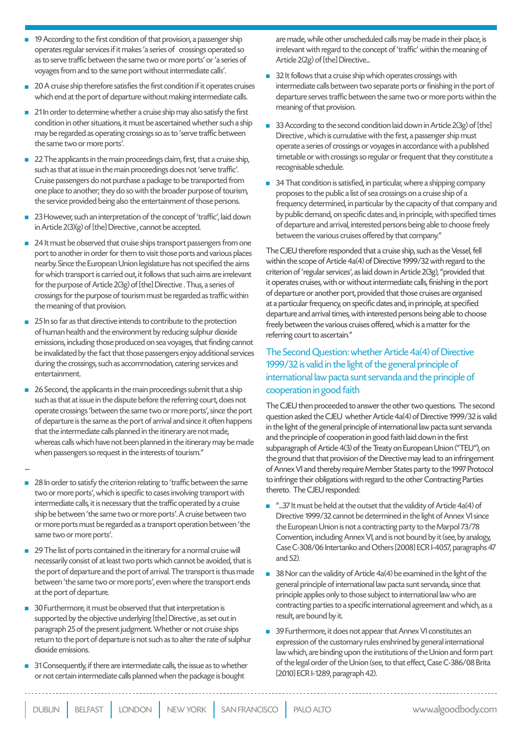- 19 According to the first condition of that provision, a passenger ship operates regular services if it makes 'a series of crossings operated so as to serve traffic between the same two or more ports' or 'a series of voyages from and to the same port without intermediate calls'.
- 20 A cruise ship therefore satisfies the first condition if it operates cruises which end at the port of departure without making intermediate calls.
- 21 In order to determine whether a cruise ship may also satisfy the first condition in other situations, it must be ascertained whether such a ship may be regarded as operating crossings so as to 'serve traffic between the same two or more ports'.
- 22 The applicants in the main proceedings claim, first, that a cruise ship, such as that at issue in the main proceedings does not 'serve traffic'. Cruise passengers do not purchase a package to be transported from one place to another; they do so with the broader purpose of tourism, the service provided being also the entertainment of those persons.
- 23 However, such an interpretation of the concept of 'traffic', laid down in Article 2(3)(g) of [the] Directive, cannot be accepted.
- 24 It must be observed that cruise ships transport passengers from one port to another in order for them to visit those ports and various places nearby. Since the European Union legislature has not specified the aims for which transport is carried out, it follows that such aims are irrelevant for the purpose of Article 2(3g) of [the] Directive. Thus, a series of crossings for the purpose of tourism must be regarded as traffic within the meaning of that provision.
- 25 In so far as that directive intends to contribute to the protection of human health and the environment by reducing sulphur dioxide emissions, including those produced on sea voyages, that finding cannot be invalidated by the fact that those passengers enjoy additional services during the crossings, such as accommodation, catering services and entertainment.
- 26 Second, the applicants in the main proceedings submit that a ship such as that at issue in the dispute before the referring court, does not operate crossings 'between the same two or more ports', since the port of departure is the same as the port of arrival and since it often happens that the intermediate calls planned in the itinerary are not made, whereas calls which have not been planned in the itinerary may be made when passengers so request in the interests of tourism."

....

- 28 In order to satisfy the criterion relating to 'traffic between the same two or more ports', which is specific to cases involving transport with intermediate calls, it is necessary that the traffic operated by a cruise ship be between 'the same two or more ports'. A cruise between two or more ports must be regarded as a transport operation between 'the same two or more ports'.
- 29 The list of ports contained in the itinerary for a normal cruise will necessarily consist of at least two ports which cannot be avoided, that is the port of departure and the port of arrival. The transport is thus made between 'the same two or more ports', even where the transport ends at the port of departure.
- 30 Furthermore, it must be observed that that interpretation is supported by the objective underlying [the] Directive, as set out in paragraph 25 of the present judgment. Whether or not cruise ships return to the port of departure is not such as to alter the rate of sulphur dioxide emissions.
- 31 Consequently, if there are intermediate calls, the issue as to whether or not certain intermediate calls planned when the package is bought

are made, while other unscheduled calls may be made in their place, is irrelevant with regard to the concept of 'traffic' within the meaning of Article 2(2g) of [the] Directive...

- $\blacksquare$  32 It follows that a cruise ship which operates crossings with intermediate calls between two separate ports or finishing in the port of departure serves traffic between the same two or more ports within the meaning of that provision.
- 33 According to the second condition laid down in Article 2(3g) of [the] Directive, which is cumulative with the first, a passenger ship must operate a series of crossings or voyages in accordance with a published timetable or with crossings so regular or frequent that they constitute a recognisable schedule.
- 34 That condition is satisfied, in particular, where a shipping company proposes to the public a list of sea crossings on a cruise ship of a frequency determined, in particular by the capacity of that company and by public demand, on specific dates and, in principle, with specified times of departure and arrival, interested persons being able to choose freely between the various cruises offered by that company."

The CJEU therefore responded that a cruise ship, such as the Vessel, fell within the scope of Article 4a(4) of Directive 1999/32 with regard to the criterion of 'regular services', as laid down in Article 2(3g), "provided that it operates cruises, with or without intermediate calls, finishing in the port of departure or another port, provided that those cruises are organised at a particular frequency, on specific dates and, in principle, at specified departure and arrival times, with interested persons being able to choose freely between the various cruises offered, which is a matter for the referring court to ascertain."

#### The Second Question: whether Article 4a(4) of Directive 1999/32 is valid in the light of the general principle of international law pacta sunt servanda and the principle of cooperation in good faith

The CJEU then proceeded to answer the other two questions. The second question asked the CJEU whether Article 4a(4) of Directive 1999/32 is valid in the light of the general principle of international law pacta sunt servanda and the principle of cooperation in good faith laid down in the first subparagraph of Article 4(3) of the Treaty on European Union ("TEU"), on the ground that that provision of the Directive may lead to an infringement of Annex VI and thereby require Member States party to the 1997 Protocol to infringe their obligations with regard to the other Contracting Parties thereto. The CJEU responded:

- $\blacksquare$  "...37 It must be held at the outset that the validity of Article 4a(4) of Directive 1999/32 cannot be determined in the light of Annex VI since the European Union is not a contracting party to the Marpol 73/78 Convention, including Annex VI, and is not bound by it (see, by analogy, Case C-308/06 Intertanko and Others [2008] ECR I-4057, paragraphs 47 and 52).
- $\blacksquare$  38 Nor can the validity of Article 4a(4) be examined in the light of the general principle of international law pacta sunt servanda, since that principle applies only to those subject to international law who are contracting parties to a specific international agreement and which, as a result, are bound by it.
- 39 Furthermore, it does not appear that Annex VI constitutes an expression of the customary rules enshrined by general international law which, are binding upon the institutions of the Union and form part of the legal order of the Union (see, to that effect, Case C-386/08 Brita [2010] ECR I-1289, paragraph 42).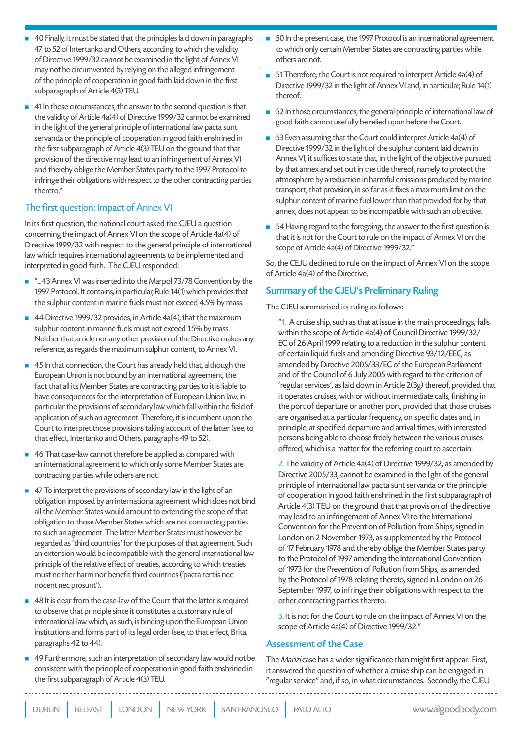41 In those circumstances, the answer to the second question is that the validity of Article 4a(4) of Directive 1999/32 cannot be examined in the light of the general principle of international law pacta sunt servanda or the principle of cooperation in good faith enshrined in the first subparagraph of Article 4(3) TEU on the ground that that provision of the directive may lead to an infringement of Annex VI and thereby oblige the Member States party to the 1997 Protocol to infringe their obligations with respect to the other contracting parties thereto."

#### The first question: Impact of Annex VI

In its first question, the national court asked the CJEU a question concerning the impact of Annex VI on the scope of Article 4a(4) of Directive 1999/32 with respect to the general principle of international law which requires international agreements to be implemented and interpreted in good faith. The CJEU responded:

- "...43 Annex VI was inserted into the Marpol 73/78 Convention by the 1997 Protocol. It contains, in particular, Rule 14(1) which provides that the sulphur content in marine fuels must not exceed 4.5% by mass.
- $\blacksquare$  44 Directive 1999/32 provides, in Article 4a(4), that the maximum sulphur content in marine fuels must not exceed 1.5% by mass. Neither that article nor any other provision of the Directive makes any reference, as regards the maximum sulphur content, to Annex VI.
- 45 In that connection, the Court has already held that, although the European Union is not bound by an international agreement, the fact that all its Member States are contracting parties to it is liable to have consequences for the interpretation of European Union law, in particular the provisions of secondary law which fall within the field of application of such an agreement. Therefore, it is incumbent upon the Court to interpret those provisions taking account of the latter (see, to that effect, Intertanko and Others, paragraphs 49 to 52).
- 46 That case-law cannot therefore be applied as compared with an international agreement to which only some Member States are contracting parties while others are not.
- 47 To interpret the provisions of secondary law in the light of an obligation imposed by an international agreement which does not bind all the Member States would amount to extending the scope of that obligation to those Member States which are not contracting parties to such an agreement. The latter Member States must however be regarded as 'third countries' for the purposes of that agreement. Such an extension would be incompatible with the general international law principle of the relative effect of treaties, according to which treaties must neither harm nor benefit third countries ('pacta tertiis nec nocent nec prosunt').
- 48 It is clear from the case-law of the Court that the latter is required to observe that principle since it constitutes a customary rule of international law which, as such, is binding upon the European Union institutions and forms part of its legal order (see, to that effect, Brita, paragraphs 42 to 44).
- 49 Furthermore, such an interpretation of secondary law would not be consistent with the principle of cooperation in good faith enshrined in the first subparagraph of Article 4(3) TEU.
- 50 In the present case, the 1997 Protocol is an international agreement to which only certain Member States are contracting parties while others are not.
- $\blacksquare$  51 Therefore, the Court is not required to interpret Article 4a(4) of Directive 1999/32 in the light of Annex VI and, in particular, Rule 14(1) thereof.
- $\Box$  52 In those circumstances, the general principle of international law of good faith cannot usefully be relied upon before the Court.
- 53 Even assuming that the Court could interpret Article 4a(4) of Directive 1999/32 in the light of the sulphur content laid down in Annex VI, it suffices to state that, in the light of the objective pursued by that annex and set out in the title thereof, namely to protect the atmosphere by a reduction in harmful emissions produced by marine transport, that provision, in so far as it fixes a maximum limit on the sulphur content of marine fuel lower than that provided for by that annex, does not appear to be incompatible with such an objective.
- 54 Having regard to the foregoing, the answer to the first question is that it is not for the Court to rule on the impact of Annex VI on the scope of Article 4a(4) of Directive 1999/32."

So, the CEJU declined to rule on the impact of Annex VI on the scope of Article 4a(4) of the Directive.

#### Summary of the CJEU's Preliminary Ruling

#### The CJEU summarised its ruling as follows:

"1. A cruise ship, such as that at issue in the main proceedings, falls within the scope of Article 4a(4) of Council Directive 1999/32/ EC of 26 April 1999 relating to a reduction in the sulphur content of certain liquid fuels and amending Directive 93/12/EEC, as amended by Directive 2005/33/EC of the European Parliament and of the Council of 6 July 2005 with regard to the criterion of 'regular services', as laid down in Article 2(3g) thereof, provided that it operates cruises, with or without intermediate calls, finishing in the port of departure or another port, provided that those cruises are organised at a particular frequency, on specific dates and, in principle, at specified departure and arrival times, with interested persons being able to choose freely between the various cruises offered, which is a matter for the referring court to ascertain.

2. The validity of Article 4a(4) of Directive 1999/32, as amended by Directive 2005/33, cannot be examined in the light of the general principle of international law pacta sunt servanda or the principle of cooperation in good faith enshrined in the first subparagraph of Article 4(3) TEU on the ground that that provision of the directive may lead to an infringement of Annex VI to the International Convention for the Prevention of Pollution from Ships, signed in London on 2 November 1973, as supplemented by the Protocol of 17 February 1978 and thereby oblige the Member States party to the Protocol of 1997 amending the International Convention of 1973 for the Prevention of Pollution from Ships, as amended by the Protocol of 1978 relating thereto, signed in London on 26 September 1997, to infringe their obligations with respect to the other contracting parties thereto.

3. It is not for the Court to rule on the impact of Annex VI on the scope of Article 4a(4) of Directive 1999/32."

#### Assessment of the Case

The Manzi case has a wider significance than might first appear. First, it answered the question of whether a cruise ship can be engaged in "regular service" and, if so, in what circumstances. Secondly, the CJEU